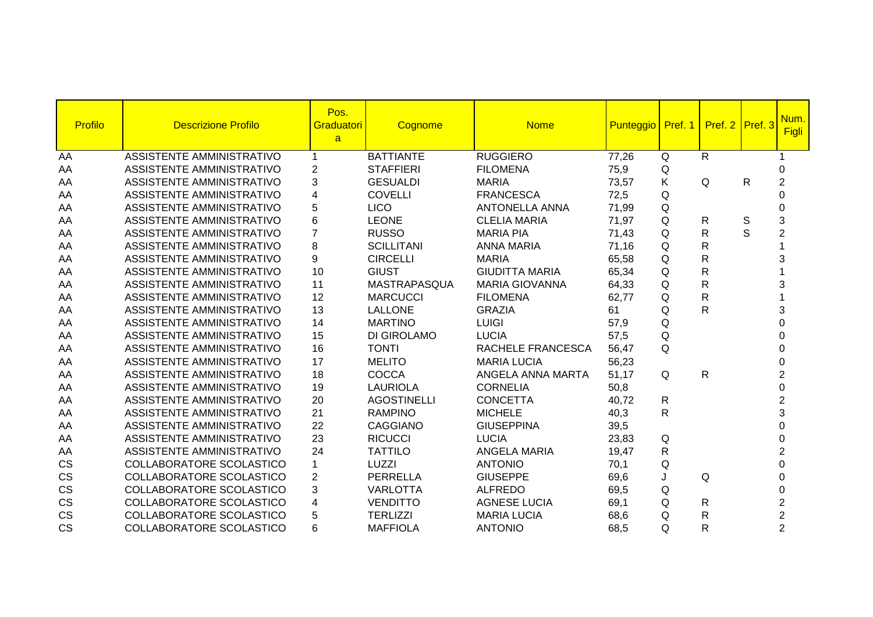| Profilo   | <b>Descrizione Profilo</b>       | Pos.<br>Graduatori<br>$\mathbf{a}$ | Cognome            | <b>Nome</b>           | Punteggio   Pref. 1 |              | Pref. 2 Pref. 3 |              | Num.<br><b>Figli</b> |
|-----------|----------------------------------|------------------------------------|--------------------|-----------------------|---------------------|--------------|-----------------|--------------|----------------------|
| AA        | <b>ASSISTENTE AMMINISTRATIVO</b> | $\mathbf 1$                        | <b>BATTIANTE</b>   | <b>RUGGIERO</b>       | 77,26               | Q            | $\overline{R}$  |              |                      |
| AA        | <b>ASSISTENTE AMMINISTRATIVO</b> | $\overline{2}$                     | <b>STAFFIERI</b>   | <b>FILOMENA</b>       | 75,9                | Q            |                 |              | 0                    |
| AA        | <b>ASSISTENTE AMMINISTRATIVO</b> | 3                                  | <b>GESUALDI</b>    | <b>MARIA</b>          | 73,57               | Κ            | Q               | $\mathsf{R}$ | $\overline{2}$       |
| AA        | ASSISTENTE AMMINISTRATIVO        | 4                                  | <b>COVELLI</b>     | <b>FRANCESCA</b>      | 72,5                | Q            |                 |              |                      |
| AA        | ASSISTENTE AMMINISTRATIVO        | 5                                  | <b>LICO</b>        | <b>ANTONELLA ANNA</b> | 71,99               | Q            |                 |              | 0                    |
| AA        | <b>ASSISTENTE AMMINISTRATIVO</b> | 6                                  | <b>LEONE</b>       | <b>CLELIA MARIA</b>   | 71,97               | $\mathsf Q$  | $\mathsf{R}$    | $\mathbb S$  | 3                    |
| AA        | ASSISTENTE AMMINISTRATIVO        | $\overline{7}$                     | <b>RUSSO</b>       | <b>MARIA PIA</b>      | 71,43               | Q            | R               | S            | $\overline{2}$       |
| AA        | ASSISTENTE AMMINISTRATIVO        | 8                                  | <b>SCILLITANI</b>  | <b>ANNA MARIA</b>     | 71,16               | Q            | R               |              |                      |
| AA        | ASSISTENTE AMMINISTRATIVO        | 9                                  | <b>CIRCELLI</b>    | <b>MARIA</b>          | 65,58               | Q            | R               |              | 3                    |
| AA        | ASSISTENTE AMMINISTRATIVO        | 10                                 | <b>GIUST</b>       | <b>GIUDITTA MARIA</b> | 65,34               | Q            | R               |              |                      |
| AA        | ASSISTENTE AMMINISTRATIVO        | 11                                 | MASTRAPASQUA       | <b>MARIA GIOVANNA</b> | 64,33               | Q            | R               |              | 3                    |
| AA        | <b>ASSISTENTE AMMINISTRATIVO</b> | 12                                 | <b>MARCUCCI</b>    | <b>FILOMENA</b>       | 62,77               | Q            | R               |              |                      |
| AA        | <b>ASSISTENTE AMMINISTRATIVO</b> | 13                                 | <b>LALLONE</b>     | <b>GRAZIA</b>         | 61                  | Q            | R               |              | 3                    |
| AA        | ASSISTENTE AMMINISTRATIVO        | 14                                 | <b>MARTINO</b>     | <b>LUIGI</b>          | 57,9                | Q            |                 |              |                      |
| AA        | ASSISTENTE AMMINISTRATIVO        | 15                                 | <b>DI GIROLAMO</b> | <b>LUCIA</b>          | 57,5                | Q            |                 |              | ი                    |
| AA        | ASSISTENTE AMMINISTRATIVO        | 16                                 | <b>TONTI</b>       | RACHELE FRANCESCA     | 56,47               | Q            |                 |              | 0                    |
| AA        | ASSISTENTE AMMINISTRATIVO        | 17                                 | <b>MELITO</b>      | <b>MARIA LUCIA</b>    | 56,23               |              |                 |              | 0                    |
| AA        | ASSISTENTE AMMINISTRATIVO        | 18                                 | <b>COCCA</b>       | ANGELA ANNA MARTA     | 51,17               | Q            | $\mathsf R$     |              | $\overline{2}$       |
| AA        | ASSISTENTE AMMINISTRATIVO        | 19                                 | <b>LAURIOLA</b>    | <b>CORNELIA</b>       | 50,8                |              |                 |              | $\overline{0}$       |
| AA        | ASSISTENTE AMMINISTRATIVO        | 20                                 | <b>AGOSTINELLI</b> | <b>CONCETTA</b>       | 40,72               | $\mathsf{R}$ |                 |              | $\overline{c}$       |
| AA        | ASSISTENTE AMMINISTRATIVO        | 21                                 | <b>RAMPINO</b>     | <b>MICHELE</b>        | 40,3                | $\mathsf{R}$ |                 |              | 3                    |
| AA        | ASSISTENTE AMMINISTRATIVO        | 22                                 | <b>CAGGIANO</b>    | <b>GIUSEPPINA</b>     | 39,5                |              |                 |              | 0                    |
| AA        | <b>ASSISTENTE AMMINISTRATIVO</b> | 23                                 | <b>RICUCCI</b>     | <b>LUCIA</b>          | 23,83               | Q            |                 |              | $\Omega$             |
| AA        | ASSISTENTE AMMINISTRATIVO        | 24                                 | <b>TATTILO</b>     | <b>ANGELA MARIA</b>   | 19,47               | R            |                 |              | $\overline{2}$       |
| CS        | COLLABORATORE SCOLASTICO         | 1                                  | LUZZI              | <b>ANTONIO</b>        | 70,1                | Q            |                 |              | 0                    |
| CS        | COLLABORATORE SCOLASTICO         | $\overline{2}$                     | <b>PERRELLA</b>    | <b>GIUSEPPE</b>       | 69,6                | J            | $\mathsf Q$     |              | 0                    |
| <b>CS</b> | COLLABORATORE SCOLASTICO         | 3                                  | <b>VARLOTTA</b>    | <b>ALFREDO</b>        | 69,5                | Q            |                 |              | $\Omega$             |
| CS        | COLLABORATORE SCOLASTICO         | 4                                  | <b>VENDITTO</b>    | <b>AGNESE LUCIA</b>   | 69,1                | Q            | R               |              | $\overline{2}$       |
| CS        | COLLABORATORE SCOLASTICO         | 5                                  | <b>TERLIZZI</b>    | <b>MARIA LUCIA</b>    | 68,6                | Q            | R               |              | $\overline{c}$       |
| <b>CS</b> | COLLABORATORE SCOLASTICO         | 6                                  | <b>MAFFIOLA</b>    | <b>ANTONIO</b>        | 68,5                | Q            | R               |              | $\overline{2}$       |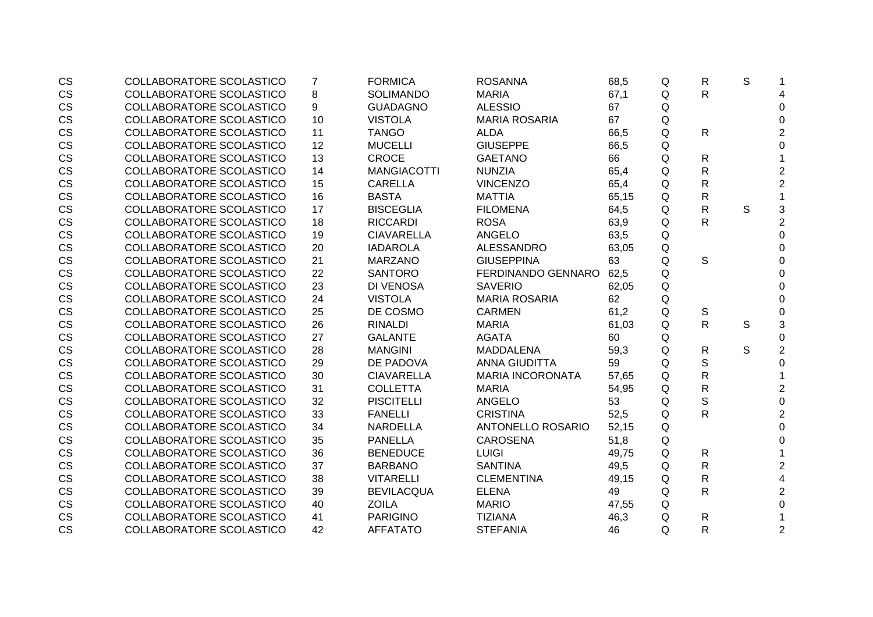| <b>CS</b> | <b>COLLABORATORE SCOLASTICO</b> | 7  | <b>FORMICA</b>     | <b>ROSANNA</b>          | 68,5  | Q | R | S           |                           |
|-----------|---------------------------------|----|--------------------|-------------------------|-------|---|---|-------------|---------------------------|
| <b>CS</b> | <b>COLLABORATORE SCOLASTICO</b> | 8  | <b>SOLIMANDO</b>   | <b>MARIA</b>            | 67,1  | Q | R |             | 4                         |
| <b>CS</b> | COLLABORATORE SCOLASTICO        | 9  | <b>GUADAGNO</b>    | <b>ALESSIO</b>          | 67    | Q |   |             | $\Omega$                  |
| <b>CS</b> | COLLABORATORE SCOLASTICO        | 10 | <b>VISTOLA</b>     | <b>MARIA ROSARIA</b>    | 67    | Q |   |             | $\Omega$                  |
| <b>CS</b> | COLLABORATORE SCOLASTICO        | 11 | <b>TANGO</b>       | <b>ALDA</b>             | 66,5  | Q | R |             | $\overline{2}$            |
| <b>CS</b> | COLLABORATORE SCOLASTICO        | 12 | <b>MUCELLI</b>     | <b>GIUSEPPE</b>         | 66,5  | Q |   |             | $\Omega$                  |
| CS        | COLLABORATORE SCOLASTICO        | 13 | <b>CROCE</b>       | <b>GAETANO</b>          | 66    | Q | R |             |                           |
| <b>CS</b> | COLLABORATORE SCOLASTICO        | 14 | <b>MANGIACOTTI</b> | <b>NUNZIA</b>           | 65,4  | Q | R |             | $\overline{2}$            |
| <b>CS</b> | COLLABORATORE SCOLASTICO        | 15 | <b>CARELLA</b>     | <b>VINCENZO</b>         | 65,4  | Q | R |             | $\overline{2}$            |
| <b>CS</b> | COLLABORATORE SCOLASTICO        | 16 | <b>BASTA</b>       | <b>MATTIA</b>           | 65,15 | Q | R |             | $\mathbf 1$               |
| <b>CS</b> | COLLABORATORE SCOLASTICO        | 17 | <b>BISCEGLIA</b>   | <b>FILOMENA</b>         | 64,5  | Q | R | $\mathsf S$ | $\ensuremath{\mathsf{3}}$ |
| <b>CS</b> | COLLABORATORE SCOLASTICO        | 18 | <b>RICCARDI</b>    | <b>ROSA</b>             | 63,9  | Q | R |             | $\overline{2}$            |
| <b>CS</b> | COLLABORATORE SCOLASTICO        | 19 | <b>CIAVARELLA</b>  | <b>ANGELO</b>           | 63,5  | Q |   |             | $\mathbf 0$               |
| <b>CS</b> | COLLABORATORE SCOLASTICO        | 20 | <b>IADAROLA</b>    | <b>ALESSANDRO</b>       | 63,05 | Q |   |             | $\Omega$                  |
| <b>CS</b> | COLLABORATORE SCOLASTICO        | 21 | <b>MARZANO</b>     | <b>GIUSEPPINA</b>       | 63    | Q | S |             | $\Omega$                  |
| <b>CS</b> | <b>COLLABORATORE SCOLASTICO</b> | 22 | <b>SANTORO</b>     | FERDINANDO GENNARO      | 62,5  | Q |   |             | 0                         |
| <b>CS</b> | <b>COLLABORATORE SCOLASTICO</b> | 23 | <b>DI VENOSA</b>   | <b>SAVERIO</b>          | 62,05 | Q |   |             | $\mathbf 0$               |
| <b>CS</b> | <b>COLLABORATORE SCOLASTICO</b> | 24 | <b>VISTOLA</b>     | <b>MARIA ROSARIA</b>    | 62    | Q |   |             | 0                         |
| <b>CS</b> | <b>COLLABORATORE SCOLASTICO</b> | 25 | DE COSMO           | <b>CARMEN</b>           | 61,2  | Q | S |             | $\pmb{0}$                 |
| <b>CS</b> | <b>COLLABORATORE SCOLASTICO</b> | 26 | <b>RINALDI</b>     | <b>MARIA</b>            | 61,03 | Q | R | S           | 3                         |
| <b>CS</b> | COLLABORATORE SCOLASTICO        | 27 | <b>GALANTE</b>     | <b>AGATA</b>            | 60    | Q |   |             | 0                         |
| <b>CS</b> | COLLABORATORE SCOLASTICO        | 28 | <b>MANGINI</b>     | <b>MADDALENA</b>        | 59,3  | Q | R | S           | $\overline{2}$            |
| <b>CS</b> | <b>COLLABORATORE SCOLASTICO</b> | 29 | DE PADOVA          | <b>ANNA GIUDITTA</b>    | 59    | Q | S |             | $\mathbf 0$               |
| <b>CS</b> | <b>COLLABORATORE SCOLASTICO</b> | 30 | <b>CIAVARELLA</b>  | <b>MARIA INCORONATA</b> | 57,65 | Q | R |             |                           |
| <b>CS</b> | <b>COLLABORATORE SCOLASTICO</b> | 31 | <b>COLLETTA</b>    | <b>MARIA</b>            | 54,95 | Q | R |             | 2                         |
| <b>CS</b> | <b>COLLABORATORE SCOLASTICO</b> | 32 | <b>PISCITELLI</b>  | <b>ANGELO</b>           | 53    | Q | S |             | $\pmb{0}$                 |
| <b>CS</b> | COLLABORATORE SCOLASTICO        | 33 | <b>FANELLI</b>     | <b>CRISTINA</b>         | 52,5  | Q | R |             | $\overline{2}$            |
| <b>CS</b> | COLLABORATORE SCOLASTICO        | 34 | <b>NARDELLA</b>    | ANTONELLO ROSARIO       | 52,15 | Q |   |             | $\mathbf 0$               |
| <b>CS</b> | COLLABORATORE SCOLASTICO        | 35 | <b>PANELLA</b>     | <b>CAROSENA</b>         | 51,8  | Q |   |             | $\mathbf 0$               |
| <b>CS</b> | COLLABORATORE SCOLASTICO        | 36 | <b>BENEDUCE</b>    | <b>LUIGI</b>            | 49,75 | Q | R |             | 1                         |
| <b>CS</b> | COLLABORATORE SCOLASTICO        | 37 | <b>BARBANO</b>     | <b>SANTINA</b>          | 49,5  | Q | R |             | $\overline{2}$            |
| <b>CS</b> | <b>COLLABORATORE SCOLASTICO</b> | 38 | <b>VITARELLI</b>   | <b>CLEMENTINA</b>       | 49,15 | Q | R |             | $\overline{\mathbf{4}}$   |
| <b>CS</b> | <b>COLLABORATORE SCOLASTICO</b> | 39 | <b>BEVILACQUA</b>  | <b>ELENA</b>            | 49    | Q | R |             | $\overline{2}$            |
| <b>CS</b> | COLLABORATORE SCOLASTICO        | 40 | <b>ZOILA</b>       | <b>MARIO</b>            | 47,55 | Q |   |             | $\mathbf 0$               |
| <b>CS</b> | COLLABORATORE SCOLASTICO        | 41 | <b>PARIGINO</b>    | <b>TIZIANA</b>          | 46,3  | Q | R |             |                           |
| <b>CS</b> | COLLABORATORE SCOLASTICO        | 42 | <b>AFFATATO</b>    | <b>STEFANIA</b>         | 46    | Q | R |             | $\overline{2}$            |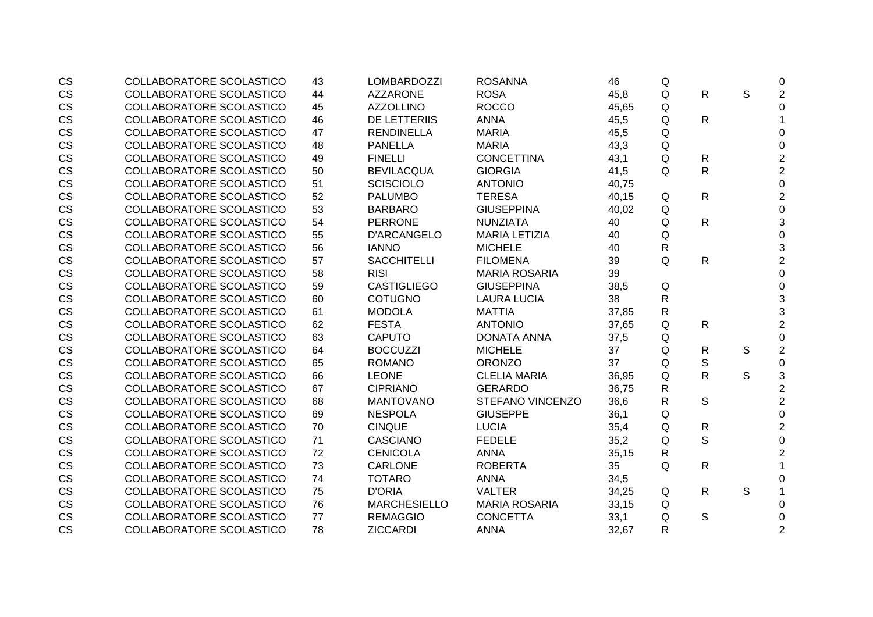| <b>CS</b> | COLLABORATORE SCOLASTICO        | 43 | <b>LOMBARDOZZI</b>  | <b>ROSANNA</b>          | 46    | Q           |              |              | 0                         |
|-----------|---------------------------------|----|---------------------|-------------------------|-------|-------------|--------------|--------------|---------------------------|
| <b>CS</b> | <b>COLLABORATORE SCOLASTICO</b> | 44 | <b>AZZARONE</b>     | <b>ROSA</b>             | 45,8  | Q           | R            | $\mathsf{S}$ | $\overline{2}$            |
| <b>CS</b> | <b>COLLABORATORE SCOLASTICO</b> | 45 | <b>AZZOLLINO</b>    | <b>ROCCO</b>            | 45,65 | Q           |              |              | $\overline{0}$            |
| CS        | COLLABORATORE SCOLASTICO        | 46 | <b>DE LETTERIIS</b> | <b>ANNA</b>             | 45,5  | Q           | $\mathsf{R}$ |              |                           |
| CS        | COLLABORATORE SCOLASTICO        | 47 | <b>RENDINELLA</b>   | <b>MARIA</b>            | 45,5  | Q           |              |              | 0                         |
| <b>CS</b> | COLLABORATORE SCOLASTICO        | 48 | <b>PANELLA</b>      | <b>MARIA</b>            | 43,3  | Q           |              |              | 0                         |
| CS        | COLLABORATORE SCOLASTICO        | 49 | <b>FINELLI</b>      | <b>CONCETTINA</b>       | 43,1  | Q           | $\mathsf{R}$ |              | $\mathbf 2$               |
| CS        | <b>COLLABORATORE SCOLASTICO</b> | 50 | <b>BEVILACQUA</b>   | <b>GIORGIA</b>          | 41,5  | Q           | R            |              | $\overline{2}$            |
| <b>CS</b> | <b>COLLABORATORE SCOLASTICO</b> | 51 | <b>SCISCIOLO</b>    | <b>ANTONIO</b>          | 40,75 |             |              |              | $\mathbf 0$               |
| CS        | <b>COLLABORATORE SCOLASTICO</b> | 52 | <b>PALUMBO</b>      | <b>TERESA</b>           | 40,15 | Q           | R            |              | $\overline{2}$            |
| CS        | COLLABORATORE SCOLASTICO        | 53 | <b>BARBARO</b>      | <b>GIUSEPPINA</b>       | 40,02 | Q           |              |              | $\mathbf 0$               |
| CS        | COLLABORATORE SCOLASTICO        | 54 | <b>PERRONE</b>      | <b>NUNZIATA</b>         | 40    | Q           | $\mathsf{R}$ |              | 3                         |
| <b>CS</b> | COLLABORATORE SCOLASTICO        | 55 | D'ARCANGELO         | <b>MARIA LETIZIA</b>    | 40    | $\mathsf Q$ |              |              | $\mathbf 0$               |
| <b>CS</b> | COLLABORATORE SCOLASTICO        | 56 | <b>IANNO</b>        | <b>MICHELE</b>          | 40    | R           |              |              | 3                         |
| <b>CS</b> | COLLABORATORE SCOLASTICO        | 57 | <b>SACCHITELLI</b>  | <b>FILOMENA</b>         | 39    | Q           | $\mathsf{R}$ |              | $\overline{2}$            |
| <b>CS</b> | <b>COLLABORATORE SCOLASTICO</b> | 58 | <b>RISI</b>         | <b>MARIA ROSARIA</b>    | 39    |             |              |              | $\overline{0}$            |
| CS        | COLLABORATORE SCOLASTICO        | 59 | <b>CASTIGLIEGO</b>  | <b>GIUSEPPINA</b>       | 38,5  | Q           |              |              | $\mathbf 0$               |
| CS        | <b>COLLABORATORE SCOLASTICO</b> | 60 | <b>COTUGNO</b>      | <b>LAURA LUCIA</b>      | 38    | R           |              |              | $\ensuremath{\mathsf{3}}$ |
| CS        | COLLABORATORE SCOLASTICO        | 61 | <b>MODOLA</b>       | <b>MATTIA</b>           | 37,85 | R           |              |              | 3                         |
| CS        | COLLABORATORE SCOLASTICO        | 62 | <b>FESTA</b>        | <b>ANTONIO</b>          | 37,65 | Q           | R            |              | $\overline{2}$            |
| <b>CS</b> | COLLABORATORE SCOLASTICO        | 63 | <b>CAPUTO</b>       | <b>DONATA ANNA</b>      | 37,5  | Q           |              |              | $\boldsymbol{0}$          |
| <b>CS</b> | <b>COLLABORATORE SCOLASTICO</b> | 64 | <b>BOCCUZZI</b>     | <b>MICHELE</b>          | 37    | Q           | R            | S            | $\overline{2}$            |
| CS        | <b>COLLABORATORE SCOLASTICO</b> | 65 | <b>ROMANO</b>       | <b>ORONZO</b>           | 37    | Q           | $\mathbb S$  |              | $\boldsymbol{0}$          |
| <b>CS</b> | <b>COLLABORATORE SCOLASTICO</b> | 66 | <b>LEONE</b>        | <b>CLELIA MARIA</b>     | 36,95 | Q           | $\mathsf{R}$ | S            | $\mathfrak{S}$            |
| <b>CS</b> | <b>COLLABORATORE SCOLASTICO</b> | 67 | <b>CIPRIANO</b>     | <b>GERARDO</b>          | 36,75 | R           |              |              | $\overline{2}$            |
| CS        | <b>COLLABORATORE SCOLASTICO</b> | 68 | <b>MANTOVANO</b>    | <b>STEFANO VINCENZO</b> | 36,6  | R           | S            |              | $\overline{2}$            |
| CS        | COLLABORATORE SCOLASTICO        | 69 | <b>NESPOLA</b>      | <b>GIUSEPPE</b>         | 36,1  | Q           |              |              | $\mathbf 0$               |
| <b>CS</b> | COLLABORATORE SCOLASTICO        | 70 | <b>CINQUE</b>       | <b>LUCIA</b>            | 35,4  | Q           | $\mathsf{R}$ |              | $\overline{2}$            |
| <b>CS</b> | COLLABORATORE SCOLASTICO        | 71 | <b>CASCIANO</b>     | <b>FEDELE</b>           | 35,2  | Q           | S            |              | $\mathbf 0$               |
| <b>CS</b> | <b>COLLABORATORE SCOLASTICO</b> | 72 | <b>CENICOLA</b>     | <b>ANNA</b>             | 35,15 | R           |              |              | $\overline{2}$            |
| CS        | COLLABORATORE SCOLASTICO        | 73 | <b>CARLONE</b>      | <b>ROBERTA</b>          | 35    | Q           | R            |              |                           |
| CS        | COLLABORATORE SCOLASTICO        | 74 | <b>TOTARO</b>       | <b>ANNA</b>             | 34,5  |             |              |              | $\mathbf 0$               |
| CS        | COLLABORATORE SCOLASTICO        | 75 | <b>D'ORIA</b>       | <b>VALTER</b>           | 34,25 | Q           | R            | S            | 1                         |
| CS        | COLLABORATORE SCOLASTICO        | 76 | <b>MARCHESIELLO</b> | <b>MARIA ROSARIA</b>    | 33,15 | Q           |              |              | 0                         |
| <b>CS</b> | COLLABORATORE SCOLASTICO        | 77 | <b>REMAGGIO</b>     | <b>CONCETTA</b>         | 33,1  | Q           | S            |              | 0                         |
| <b>CS</b> | COLLABORATORE SCOLASTICO        | 78 | <b>ZICCARDI</b>     | <b>ANNA</b>             | 32,67 | R           |              |              | $\overline{2}$            |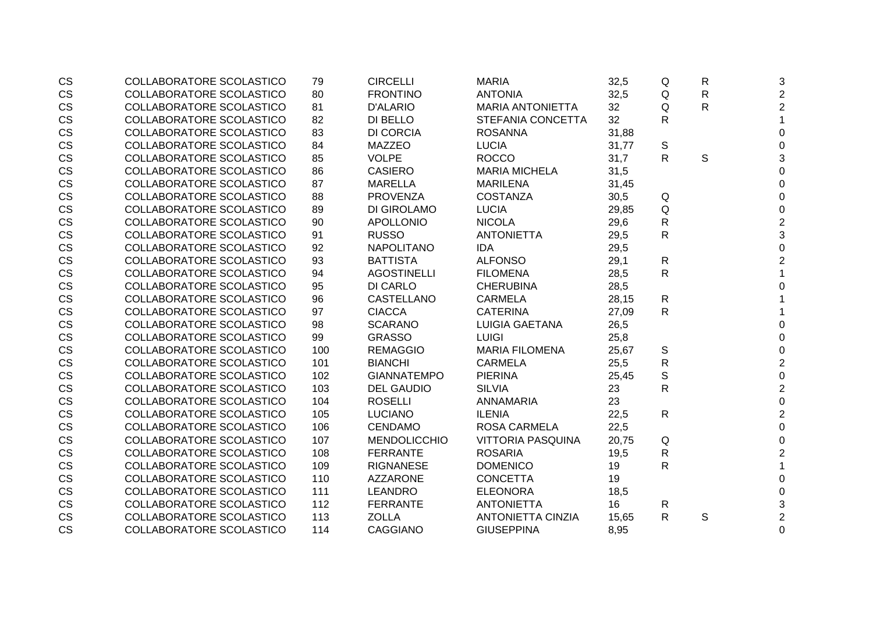| <b>CS</b>              | COLLABORATORE SCOLASTICO | 79  | <b>CIRCELLI</b>     | <b>MARIA</b>             | 32,5  | Q            | $\mathsf{R}$ | 3                |
|------------------------|--------------------------|-----|---------------------|--------------------------|-------|--------------|--------------|------------------|
| <b>CS</b>              | COLLABORATORE SCOLASTICO | 80  | <b>FRONTINO</b>     | <b>ANTONIA</b>           | 32,5  | Q            | $\mathsf{R}$ | $\overline{2}$   |
| CS                     | COLLABORATORE SCOLASTICO | 81  | <b>D'ALARIO</b>     | <b>MARIA ANTONIETTA</b>  | 32    | Q            | $\mathsf{R}$ | $\overline{2}$   |
| CS                     | COLLABORATORE SCOLASTICO | 82  | DI BELLO            | STEFANIA CONCETTA        | 32    | R            |              | 1                |
| CS                     | COLLABORATORE SCOLASTICO | 83  | <b>DI CORCIA</b>    | <b>ROSANNA</b>           | 31,88 |              |              | $\mathbf 0$      |
|                        | COLLABORATORE SCOLASTICO | 84  | <b>MAZZEO</b>       | <b>LUCIA</b>             |       |              |              |                  |
| CS                     | COLLABORATORE SCOLASTICO |     | <b>VOLPE</b>        | <b>ROCCO</b>             | 31,77 | S            |              | 0                |
| CS                     |                          | 85  |                     |                          | 31,7  | R            | $\mathsf S$  | 3                |
| CS                     | COLLABORATORE SCOLASTICO | 86  | <b>CASIERO</b>      | <b>MARIA MICHELA</b>     | 31,5  |              |              | 0                |
| CS                     | COLLABORATORE SCOLASTICO | 87  | <b>MARELLA</b>      | <b>MARILENA</b>          | 31,45 |              |              | 0                |
| CS                     | COLLABORATORE SCOLASTICO | 88  | <b>PROVENZA</b>     | <b>COSTANZA</b>          | 30,5  | Q            |              | $\Omega$         |
| CS                     | COLLABORATORE SCOLASTICO | 89  | DI GIROLAMO         | <b>LUCIA</b>             | 29,85 | Q            |              | 0                |
| CS                     | COLLABORATORE SCOLASTICO | 90  | <b>APOLLONIO</b>    | <b>NICOLA</b>            | 29,6  | R            |              | $\overline{2}$   |
| CS                     | COLLABORATORE SCOLASTICO | 91  | <b>RUSSO</b>        | <b>ANTONIETTA</b>        | 29,5  | R            |              | 3                |
| CS                     | COLLABORATORE SCOLASTICO | 92  | <b>NAPOLITANO</b>   | <b>IDA</b>               | 29,5  |              |              | $\mathbf 0$      |
| CS                     | COLLABORATORE SCOLASTICO | 93  | <b>BATTISTA</b>     | <b>ALFONSO</b>           | 29,1  | R            |              | $\overline{2}$   |
| CS                     | COLLABORATORE SCOLASTICO | 94  | <b>AGOSTINELLI</b>  | <b>FILOMENA</b>          | 28,5  | R            |              | $\mathbf{1}$     |
| CS                     | COLLABORATORE SCOLASTICO | 95  | <b>DI CARLO</b>     | <b>CHERUBINA</b>         | 28,5  |              |              | $\mathbf 0$      |
| CS                     | COLLABORATORE SCOLASTICO | 96  | <b>CASTELLANO</b>   | <b>CARMELA</b>           | 28,15 | R            |              |                  |
| CS                     | COLLABORATORE SCOLASTICO | 97  | <b>CIACCA</b>       | <b>CATERINA</b>          | 27,09 | $\mathsf{R}$ |              | 1                |
| CS                     | COLLABORATORE SCOLASTICO | 98  | <b>SCARANO</b>      | <b>LUIGIA GAETANA</b>    | 26,5  |              |              | $\mathbf 0$      |
| CS                     | COLLABORATORE SCOLASTICO | 99  | <b>GRASSO</b>       | <b>LUIGI</b>             | 25,8  |              |              | $\mathbf 0$      |
| CS                     | COLLABORATORE SCOLASTICO | 100 | <b>REMAGGIO</b>     | <b>MARIA FILOMENA</b>    | 25,67 | S            |              | $\boldsymbol{0}$ |
| CS                     | COLLABORATORE SCOLASTICO | 101 | <b>BIANCHI</b>      | <b>CARMELA</b>           | 25,5  | R            |              | $\mathbf 2$      |
| CS                     | COLLABORATORE SCOLASTICO | 102 | <b>GIANNATEMPO</b>  | <b>PIERINA</b>           | 25,45 | $\mathbb S$  |              | $\boldsymbol{0}$ |
| CS                     | COLLABORATORE SCOLASTICO | 103 | <b>DEL GAUDIO</b>   | <b>SILVIA</b>            | 23    | R            |              | $\overline{2}$   |
| $\mathbb{C}\mathbb{S}$ | COLLABORATORE SCOLASTICO | 104 | <b>ROSELLI</b>      | ANNAMARIA                | 23    |              |              | $\pmb{0}$        |
| CS                     | COLLABORATORE SCOLASTICO | 105 | <b>LUCIANO</b>      | <b>ILENIA</b>            | 22,5  | R            |              | $\mathbf 2$      |
| <b>CS</b>              | COLLABORATORE SCOLASTICO | 106 | <b>CENDAMO</b>      | <b>ROSA CARMELA</b>      | 22,5  |              |              | $\overline{0}$   |
| CS                     | COLLABORATORE SCOLASTICO | 107 | <b>MENDOLICCHIO</b> | <b>VITTORIA PASQUINA</b> | 20,75 | Q            |              | $\mathbf 0$      |
| CS                     | COLLABORATORE SCOLASTICO | 108 | <b>FERRANTE</b>     | <b>ROSARIA</b>           | 19,5  | R            |              | $\overline{2}$   |
| CS                     | COLLABORATORE SCOLASTICO | 109 | <b>RIGNANESE</b>    | <b>DOMENICO</b>          | 19    | R            |              | $\mathbf{1}$     |
| CS                     | COLLABORATORE SCOLASTICO | 110 | <b>AZZARONE</b>     | <b>CONCETTA</b>          | 19    |              |              | $\boldsymbol{0}$ |
| CS                     | COLLABORATORE SCOLASTICO | 111 | <b>LEANDRO</b>      | <b>ELEONORA</b>          | 18,5  |              |              | 0                |
| CS                     | COLLABORATORE SCOLASTICO | 112 | <b>FERRANTE</b>     | <b>ANTONIETTA</b>        | 16    | R            |              | 3                |
| CS                     | COLLABORATORE SCOLASTICO | 113 | <b>ZOLLA</b>        | <b>ANTONIETTA CINZIA</b> | 15,65 | R            | S            | $\overline{2}$   |
| CS                     | COLLABORATORE SCOLASTICO | 114 | <b>CAGGIANO</b>     | <b>GIUSEPPINA</b>        | 8,95  |              |              | $\mathbf 0$      |
|                        |                          |     |                     |                          |       |              |              |                  |